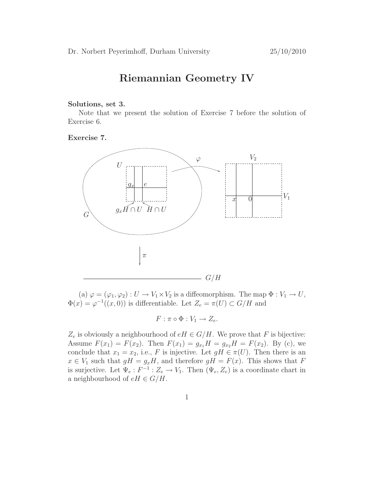## Riemannian Geometry IV

## Solutions, set 3.

Note that we present the solution of Exercise 7 before the solution of Exercise 6.

Exercise 7.



(a)  $\varphi = (\varphi_1, \varphi_2) : U \to V_1 \times V_2$  is a diffeomorphism. The map  $\Phi : V_1 \to U$ ,  $\Phi(x) = \varphi^{-1}((x, 0))$  is differentiable. Let  $Z_e = \pi(U) \subset G/H$  and

 $F: \pi \circ \Phi : V_1 \to Z_e.$ 

 $Z_e$  is obviously a neighbourhood of  $eH \in G/H$ . We prove that F is bijective: Assume  $F(x_1) = F(x_2)$ . Then  $F(x_1) = g_{x_1}H = g_{x_2}H = F(x_2)$ . By (c), we conclude that  $x_1 = x_2$ , i.e., F is injective. Let  $gH \in \pi(U)$ . Then there is an  $x \in V_1$  such that  $gH = g_xH$ , and therefore  $gH = F(x)$ . This shows that F is surjective. Let  $\Psi_e : F^{-1} : Z_e \to V_1$ . Then  $(\Psi_e, Z_e)$  is a coordinate chart in a neighbourhood of  $eH \in G/H$ .